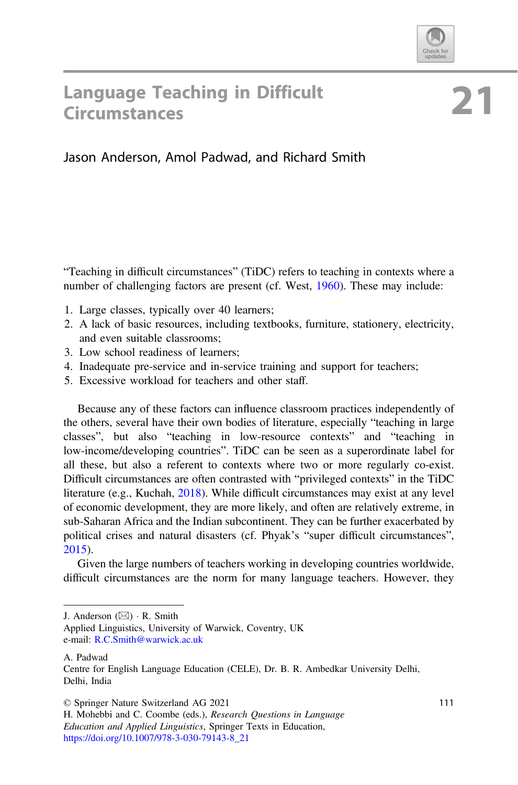

# **Language Teaching in Difficult** Circumstances

## Jason Anderson, Amol Padwad, and Richard Smith

"Teaching in difficult circumstances" (TiDC) refers to teaching in contexts where a number of challenging factors are present (cf. West, [1960](#page-5-0)). These may include:

- 1. Large classes, typically over 40 learners;
- 2. A lack of basic resources, including textbooks, furniture, stationery, electricity, and even suitable classrooms;
- 3. Low school readiness of learners;
- 4. Inadequate pre-service and in-service training and support for teachers;
- 5. Excessive workload for teachers and other staff.

Because any of these factors can influence classroom practices independently of the others, several have their own bodies of literature, especially "teaching in large classes", but also "teaching in low-resource contexts" and "teaching in low-income/developing countries". TiDC can be seen as a superordinate label for all these, but also a referent to contexts where two or more regularly co-exist. Difficult circumstances are often contrasted with "privileged contexts" in the TiDC literature (e.g., Kuchah, [2018\)](#page-4-0). While difficult circumstances may exist at any level of economic development, they are more likely, and often are relatively extreme, in sub-Saharan Africa and the Indian subcontinent. They can be further exacerbated by political crises and natural disasters (cf. Phyak's "super difficult circumstances", [2015\)](#page-4-0).

Given the large numbers of teachers working in developing countries worldwide, difficult circumstances are the norm for many language teachers. However, they

J. Anderson  $(\boxtimes) \cdot$  R. Smith

Applied Linguistics, University of Warwick, Coventry, UK e-mail: [R.C.Smith@warwick.ac.uk](mailto:R.C.Smith@warwick.ac.uk)

A. Padwad

Centre for English Language Education (CELE), Dr. B. R. Ambedkar University Delhi, Delhi, India

<sup>©</sup> Springer Nature Switzerland AG 2021

H. Mohebbi and C. Coombe (eds.), Research Questions in Language Education and Applied Linguistics, Springer Texts in Education, [https://doi.org/10.1007/978-3-030-79143-8\\_21](https://doi.org/10.1007/978-3-030-79143-8_21)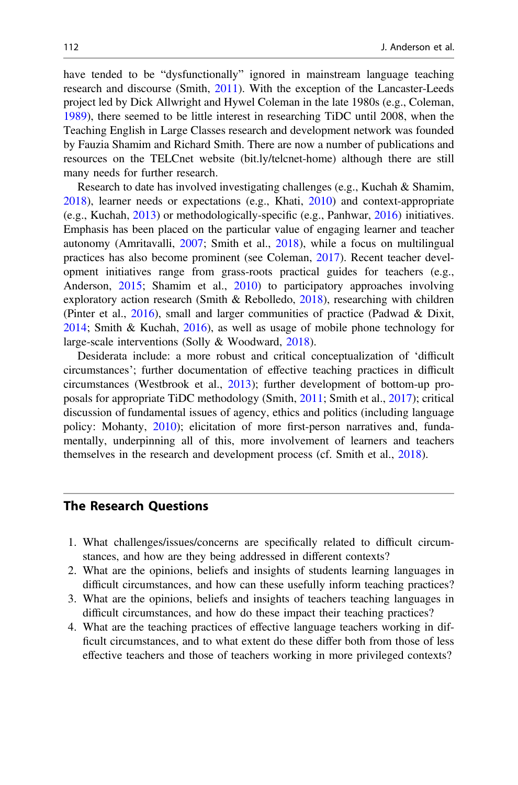have tended to be "dysfunctionally" ignored in mainstream language teaching research and discourse (Smith, [2011](#page-4-0)). With the exception of the Lancaster-Leeds project led by Dick Allwright and Hywel Coleman in the late 1980s (e.g., Coleman, [1989\)](#page-4-0), there seemed to be little interest in researching TiDC until 2008, when the Teaching English in Large Classes research and development network was founded by Fauzia Shamim and Richard Smith. There are now a number of publications and resources on the TELCnet website (bit.ly/telcnet-home) although there are still many needs for further research.

Research to date has involved investigating challenges (e.g., Kuchah & Shamim, [2018\)](#page-4-0), learner needs or expectations (e.g., Khati, [2010\)](#page-4-0) and context-appropriate (e.g., Kuchah, [2013\)](#page-4-0) or methodologically-specific (e.g., Panhwar, [2016\)](#page-4-0) initiatives. Emphasis has been placed on the particular value of engaging learner and teacher autonomy (Amritavalli, [2007;](#page-4-0) Smith et al., [2018\)](#page-4-0), while a focus on multilingual practices has also become prominent (see Coleman, [2017\)](#page-4-0). Recent teacher development initiatives range from grass-roots practical guides for teachers (e.g., Anderson, [2015;](#page-4-0) Shamim et al., [2010\)](#page-4-0) to participatory approaches involving exploratory action research (Smith & Rebolledo,  $2018$ ), researching with children (Pinter et al.,  $2016$ ), small and larger communities of practice (Padwad & Dixit, [2014;](#page-4-0) Smith & Kuchah, [2016\)](#page-4-0), as well as usage of mobile phone technology for large-scale interventions (Solly & Woodward, [2018\)](#page-5-0).

Desiderata include: a more robust and critical conceptualization of 'difficult circumstances'; further documentation of effective teaching practices in difficult circumstances (Westbrook et al., [2013](#page-5-0)); further development of bottom-up proposals for appropriate TiDC methodology (Smith, [2011](#page-4-0); Smith et al., [2017\)](#page-4-0); critical discussion of fundamental issues of agency, ethics and politics (including language policy: Mohanty, [2010\)](#page-4-0); elicitation of more first-person narratives and, fundamentally, underpinning all of this, more involvement of learners and teachers themselves in the research and development process (cf. Smith et al., [2018\)](#page-4-0).

#### The Research Questions

- 1. What challenges/issues/concerns are specifically related to difficult circumstances, and how are they being addressed in different contexts?
- 2. What are the opinions, beliefs and insights of students learning languages in difficult circumstances, and how can these usefully inform teaching practices?
- 3. What are the opinions, beliefs and insights of teachers teaching languages in difficult circumstances, and how do these impact their teaching practices?
- 4. What are the teaching practices of effective language teachers working in difficult circumstances, and to what extent do these differ both from those of less effective teachers and those of teachers working in more privileged contexts?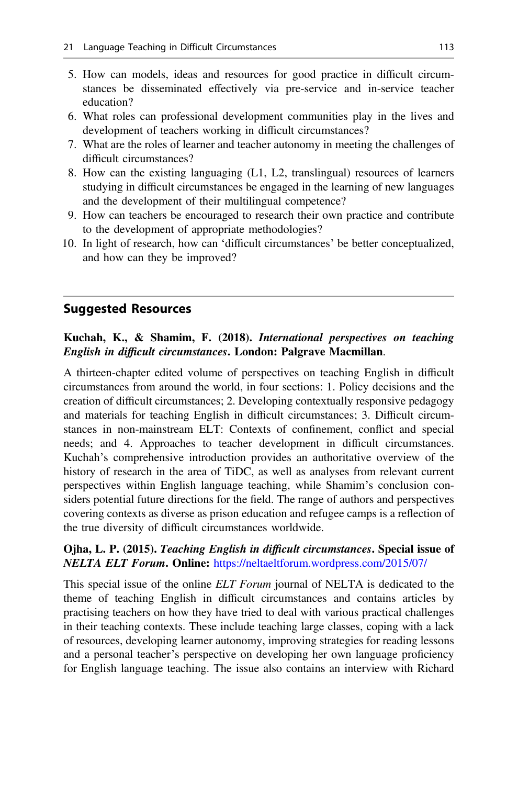- 5. How can models, ideas and resources for good practice in difficult circumstances be disseminated effectively via pre-service and in-service teacher education?
- 6. What roles can professional development communities play in the lives and development of teachers working in difficult circumstances?
- 7. What are the roles of learner and teacher autonomy in meeting the challenges of difficult circumstances?
- 8. How can the existing languaging (L1, L2, translingual) resources of learners studying in difficult circumstances be engaged in the learning of new languages and the development of their multilingual competence?
- 9. How can teachers be encouraged to research their own practice and contribute to the development of appropriate methodologies?
- 10. In light of research, how can 'difficult circumstances' be better conceptualized, and how can they be improved?

#### Suggested Resources

#### Kuchah, K., & Shamim, F. (2018). International perspectives on teaching English in difficult circumstances. London: Palgrave Macmillan.

A thirteen-chapter edited volume of perspectives on teaching English in difficult circumstances from around the world, in four sections: 1. Policy decisions and the creation of difficult circumstances; 2. Developing contextually responsive pedagogy and materials for teaching English in difficult circumstances; 3. Difficult circumstances in non-mainstream ELT: Contexts of confinement, conflict and special needs; and 4. Approaches to teacher development in difficult circumstances. Kuchah's comprehensive introduction provides an authoritative overview of the history of research in the area of TiDC, as well as analyses from relevant current perspectives within English language teaching, while Shamim's conclusion considers potential future directions for the field. The range of authors and perspectives covering contexts as diverse as prison education and refugee camps is a reflection of the true diversity of difficult circumstances worldwide.

#### Ojha, L. P. (2015). Teaching English in difficult circumstances. Special issue of NELTA ELT Forum. Online: <https://neltaeltforum.wordpress.com/2015/07/>

This special issue of the online ELT Forum journal of NELTA is dedicated to the theme of teaching English in difficult circumstances and contains articles by practising teachers on how they have tried to deal with various practical challenges in their teaching contexts. These include teaching large classes, coping with a lack of resources, developing learner autonomy, improving strategies for reading lessons and a personal teacher's perspective on developing her own language proficiency for English language teaching. The issue also contains an interview with Richard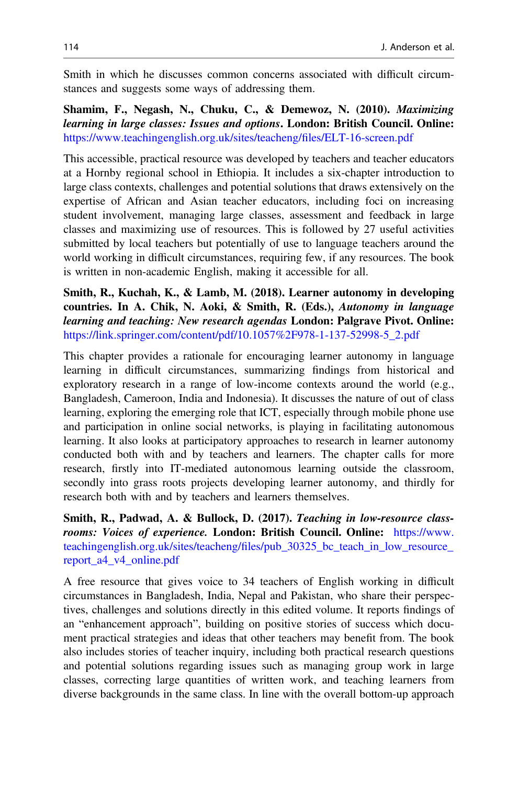Smith in which he discusses common concerns associated with difficult circumstances and suggests some ways of addressing them.

Shamim, F., Negash, N., Chuku, C., & Demewoz, N. (2010). Maximizing learning in large classes: Issues and options. London: British Council. Online: [https://www.teachingenglish.org.uk/sites/teacheng/](https://www.teachingenglish.org.uk/sites/teacheng/files/ELT-16-screen.pdf)files/ELT-16-screen.pdf

This accessible, practical resource was developed by teachers and teacher educators at a Hornby regional school in Ethiopia. It includes a six-chapter introduction to large class contexts, challenges and potential solutions that draws extensively on the expertise of African and Asian teacher educators, including foci on increasing student involvement, managing large classes, assessment and feedback in large classes and maximizing use of resources. This is followed by 27 useful activities submitted by local teachers but potentially of use to language teachers around the world working in difficult circumstances, requiring few, if any resources. The book is written in non-academic English, making it accessible for all.

Smith, R., Kuchah, K., & Lamb, M. (2018). Learner autonomy in developing countries. In A. Chik, N. Aoki, & Smith, R. (Eds.), Autonomy in language learning and teaching: New research agendas London: Palgrave Pivot. Online: [https://link.springer.com/content/pdf/10.1057%2F978-1-137-52998-5\\_2.pdf](https://link.springer.com/content/pdf/10.1057%252F978-1-137-52998-5_2.pdf)

This chapter provides a rationale for encouraging learner autonomy in language learning in difficult circumstances, summarizing findings from historical and exploratory research in a range of low-income contexts around the world (e.g., Bangladesh, Cameroon, India and Indonesia). It discusses the nature of out of class learning, exploring the emerging role that ICT, especially through mobile phone use and participation in online social networks, is playing in facilitating autonomous learning. It also looks at participatory approaches to research in learner autonomy conducted both with and by teachers and learners. The chapter calls for more research, firstly into IT-mediated autonomous learning outside the classroom, secondly into grass roots projects developing learner autonomy, and thirdly for research both with and by teachers and learners themselves.

Smith, R., Padwad, A. & Bullock, D. (2017). Teaching in low-resource classrooms: Voices of experience. London: British Council. Online: [https://www.](https://www.teachingenglish.org.uk/sites/teacheng/files/pub_30325_bc_teach_in_low_resource_report_a4_v4_online.pdf) teachingenglish.org.uk/sites/teacheng/fi[les/pub\\_30325\\_bc\\_teach\\_in\\_low\\_resource\\_](https://www.teachingenglish.org.uk/sites/teacheng/files/pub_30325_bc_teach_in_low_resource_report_a4_v4_online.pdf) [report\\_a4\\_v4\\_online.pdf](https://www.teachingenglish.org.uk/sites/teacheng/files/pub_30325_bc_teach_in_low_resource_report_a4_v4_online.pdf)

A free resource that gives voice to 34 teachers of English working in difficult circumstances in Bangladesh, India, Nepal and Pakistan, who share their perspectives, challenges and solutions directly in this edited volume. It reports findings of an "enhancement approach", building on positive stories of success which document practical strategies and ideas that other teachers may benefit from. The book also includes stories of teacher inquiry, including both practical research questions and potential solutions regarding issues such as managing group work in large classes, correcting large quantities of written work, and teaching learners from diverse backgrounds in the same class. In line with the overall bottom-up approach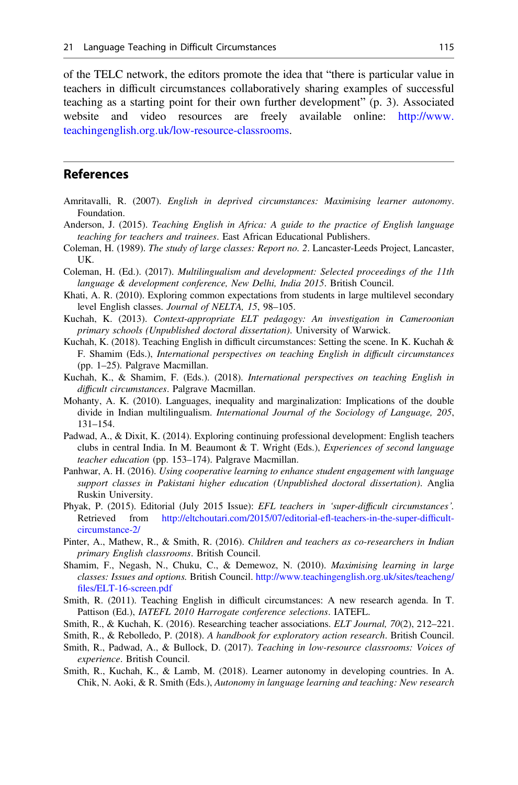<span id="page-4-0"></span>of the TELC network, the editors promote the idea that "there is particular value in teachers in difficult circumstances collaboratively sharing examples of successful teaching as a starting point for their own further development" (p. 3). Associated website and video resources are freely available online: [http://www.](http://www.teachingenglish.org.uk/low-resource-classrooms) [teachingenglish.org.uk/low-resource-classrooms](http://www.teachingenglish.org.uk/low-resource-classrooms).

### References

- Amritavalli, R. (2007). English in deprived circumstances: Maximising learner autonomy. Foundation.
- Anderson, J. (2015). Teaching English in Africa: A guide to the practice of English language teaching for teachers and trainees. East African Educational Publishers.
- Coleman, H. (1989). The study of large classes: Report no. 2. Lancaster-Leeds Project, Lancaster, UK.
- Coleman, H. (Ed.). (2017). Multilingualism and development: Selected proceedings of the 11th language & development conference, New Delhi, India 2015. British Council.
- Khati, A. R. (2010). Exploring common expectations from students in large multilevel secondary level English classes. Journal of NELTA, 15, 98–105.
- Kuchah, K. (2013). Context-appropriate ELT pedagogy: An investigation in Cameroonian primary schools (Unpublished doctoral dissertation). University of Warwick.
- Kuchah, K. (2018). Teaching English in difficult circumstances: Setting the scene. In K. Kuchah & F. Shamim (Eds.), International perspectives on teaching English in difficult circumstances (pp. 1–25). Palgrave Macmillan.
- Kuchah, K., & Shamim, F. (Eds.). (2018). International perspectives on teaching English in difficult circumstances. Palgrave Macmillan.
- Mohanty, A. K. (2010). Languages, inequality and marginalization: Implications of the double divide in Indian multilingualism. International Journal of the Sociology of Language, 205, 131–154.
- Padwad, A., & Dixit, K. (2014). Exploring continuing professional development: English teachers clubs in central India. In M. Beaumont & T. Wright (Eds.), Experiences of second language teacher education (pp. 153–174). Palgrave Macmillan.
- Panhwar, A. H. (2016). Using cooperative learning to enhance student engagement with language support classes in Pakistani higher education (Unpublished doctoral dissertation). Anglia Ruskin University.
- Phyak, P. (2015). Editorial (July 2015 Issue): EFL teachers in 'super-difficult circumstances'. Retrieved from [http://eltchoutari.com/2015/07/editorial-e](http://eltchoutari.com/2015/07/editorial-efl-teachers-in-the-super-difficult-circumstance-2/)fl-teachers-in-the-super-difficult[circumstance-2/](http://eltchoutari.com/2015/07/editorial-efl-teachers-in-the-super-difficult-circumstance-2/)
- Pinter, A., Mathew, R., & Smith, R. (2016). Children and teachers as co-researchers in Indian primary English classrooms. British Council.
- Shamim, F., Negash, N., Chuku, C., & Demewoz, N. (2010). Maximising learning in large classes: Issues and options. British Council. [http://www.teachingenglish.org.uk/sites/teacheng/](http://www.teachingenglish.org.uk/sites/teacheng/files/ELT-16-screen.pdf) fi[les/ELT-16-screen.pdf](http://www.teachingenglish.org.uk/sites/teacheng/files/ELT-16-screen.pdf)
- Smith, R. (2011). Teaching English in difficult circumstances: A new research agenda. In T. Pattison (Ed.), IATEFL 2010 Harrogate conference selections. IATEFL.
- Smith, R., & Kuchah, K. (2016). Researching teacher associations. *ELT Journal*, 70(2), 212–221.
- Smith, R., & Rebolledo, P. (2018). A handbook for exploratory action research. British Council.
- Smith, R., Padwad, A., & Bullock, D. (2017). Teaching in low-resource classrooms: Voices of experience. British Council.
- Smith, R., Kuchah, K., & Lamb, M. (2018). Learner autonomy in developing countries. In A. Chik, N. Aoki, & R. Smith (Eds.), Autonomy in language learning and teaching: New research